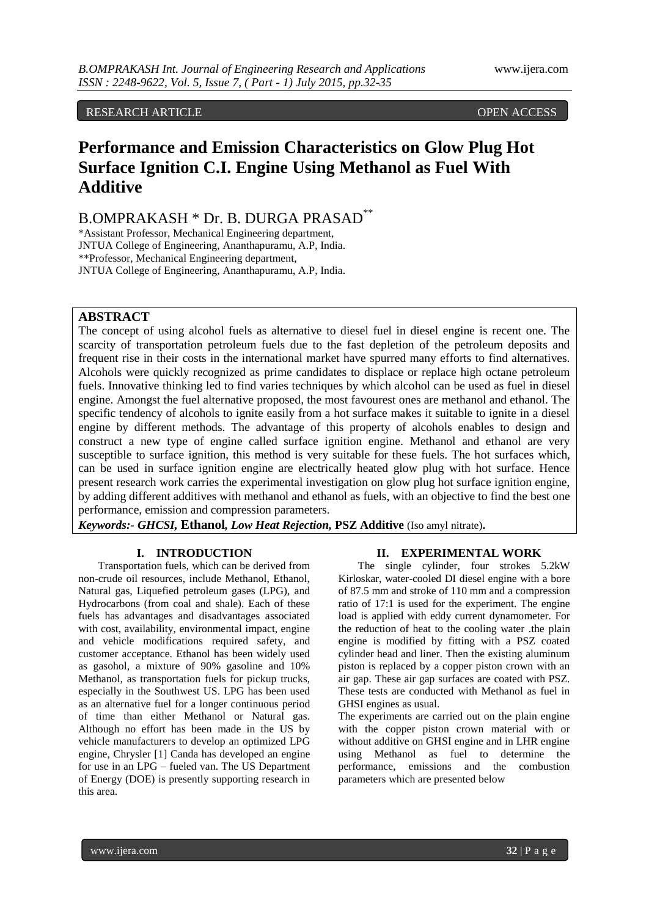# RESEARCH ARTICLE **CONTRACT ARTICLE**

# **Performance and Emission Characteristics on Glow Plug Hot Surface Ignition C.I. Engine Using Methanol as Fuel With Additive**

B.OMPRAKASH \* Dr. B. DURGA PRASAD\*\*

\*Assistant Professor, Mechanical Engineering department, JNTUA College of Engineering, Ananthapuramu, A.P, India. \*\*Professor, Mechanical Engineering department, JNTUA College of Engineering, Ananthapuramu, A.P, India.

# **ABSTRACT**

The concept of using alcohol fuels as alternative to diesel fuel in diesel engine is recent one. The scarcity of transportation petroleum fuels due to the fast depletion of the petroleum deposits and frequent rise in their costs in the international market have spurred many efforts to find alternatives. Alcohols were quickly recognized as prime candidates to displace or replace high octane petroleum fuels. Innovative thinking led to find varies techniques by which alcohol can be used as fuel in diesel engine. Amongst the fuel alternative proposed, the most favourest ones are methanol and ethanol. The specific tendency of alcohols to ignite easily from a hot surface makes it suitable to ignite in a diesel engine by different methods. The advantage of this property of alcohols enables to design and construct a new type of engine called surface ignition engine. Methanol and ethanol are very susceptible to surface ignition, this method is very suitable for these fuels. The hot surfaces which, can be used in surface ignition engine are electrically heated glow plug with hot surface. Hence present research work carries the experimental investigation on glow plug hot surface ignition engine, by adding different additives with methanol and ethanol as fuels, with an objective to find the best one performance, emission and compression parameters.

*Keywords:- GHCSI,* **Ethanol***, Low Heat Rejection,* **PSZ Additive** (Iso amyl nitrate)**.**

## **I. INTRODUCTION**

Transportation fuels, which can be derived from non-crude oil resources, include Methanol, Ethanol, Natural gas, Liquefied petroleum gases (LPG), and Hydrocarbons (from coal and shale). Each of these fuels has advantages and disadvantages associated with cost, availability, environmental impact, engine and vehicle modifications required safety, and customer acceptance. Ethanol has been widely used as gasohol, a mixture of 90% gasoline and 10% Methanol, as transportation fuels for pickup trucks, especially in the Southwest US. LPG has been used as an alternative fuel for a longer continuous period of time than either Methanol or Natural gas. Although no effort has been made in the US by vehicle manufacturers to develop an optimized LPG engine, Chrysler [1] Canda has developed an engine for use in an LPG – fueled van. The US Department of Energy (DOE) is presently supporting research in this area.

# **II. EXPERIMENTAL WORK**

The single cylinder, four strokes 5.2kW Kirloskar, water-cooled DI diesel engine with a bore of 87.5 mm and stroke of 110 mm and a compression ratio of 17:1 is used for the experiment. The engine load is applied with eddy current dynamometer. For the reduction of heat to the cooling water .the plain engine is modified by fitting with a PSZ coated cylinder head and liner. Then the existing aluminum piston is replaced by a copper piston crown with an air gap. These air gap surfaces are coated with PSZ. These tests are conducted with Methanol as fuel in GHSI engines as usual.

The experiments are carried out on the plain engine with the copper piston crown material with or without additive on GHSI engine and in LHR engine using Methanol as fuel to determine the performance, emissions and the combustion parameters which are presented below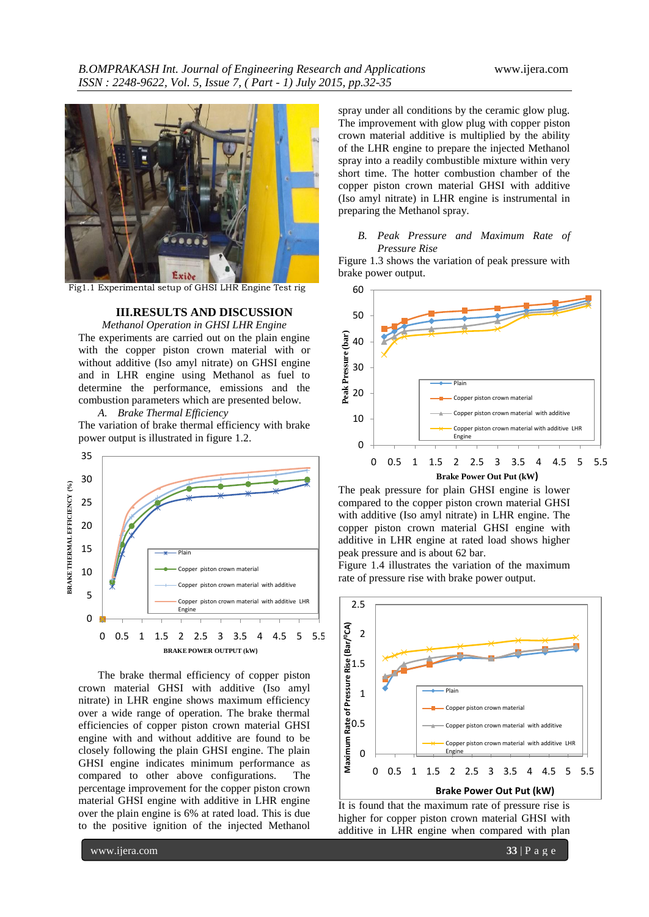

Fig1.1 Experimental setup of GHSI LHR Engine Test rig

## **III.RESULTS AND DISCUSSION**

*Methanol Operation in GHSI LHR Engine* The experiments are carried out on the plain engine with the copper piston crown material with or without additive (Iso amyl nitrate) on GHSI engine and in LHR engine using Methanol as fuel to determine the performance, emissions and the combustion parameters which are presented below.

*A. Brake Thermal Efficiency* The variation of brake thermal efficiency with brake power output is illustrated in figure 1.2.



The brake thermal efficiency of copper piston crown material GHSI with additive (Iso amyl nitrate) in LHR engine shows maximum efficiency over a wide range of operation. The brake thermal efficiencies of copper piston crown material GHSI engine with and without additive are found to be closely following the plain GHSI engine. The plain GHSI engine indicates minimum performance as compared to other above configurations. The percentage improvement for the copper piston crown material GHSI engine with additive in LHR engine over the plain engine is 6% at rated load. This is due to the positive ignition of the injected Methanol

spray under all conditions by the ceramic glow plug. The improvement with glow plug with copper piston crown material additive is multiplied by the ability of the LHR engine to prepare the injected Methanol spray into a readily combustible mixture within very short time. The hotter combustion chamber of the copper piston crown material GHSI with additive (Iso amyl nitrate) in LHR engine is instrumental in preparing the Methanol spray.

#### *B. Peak Pressure and Maximum Rate of Pressure Rise*

Figure 1.3 shows the variation of peak pressure with brake power output.



The peak pressure for plain GHSI engine is lower compared to the copper piston crown material GHSI with additive (Iso amyl nitrate) in LHR engine. The copper piston crown material GHSI engine with additive in LHR engine at rated load shows higher peak pressure and is about 62 bar.

Figure 1.4 illustrates the variation of the maximum rate of pressure rise with brake power output.



It is found that the maximum rate of pressure rise is higher for copper piston crown material GHSI with additive in LHR engine when compared with plan

www.ijera.com **33** | P a g e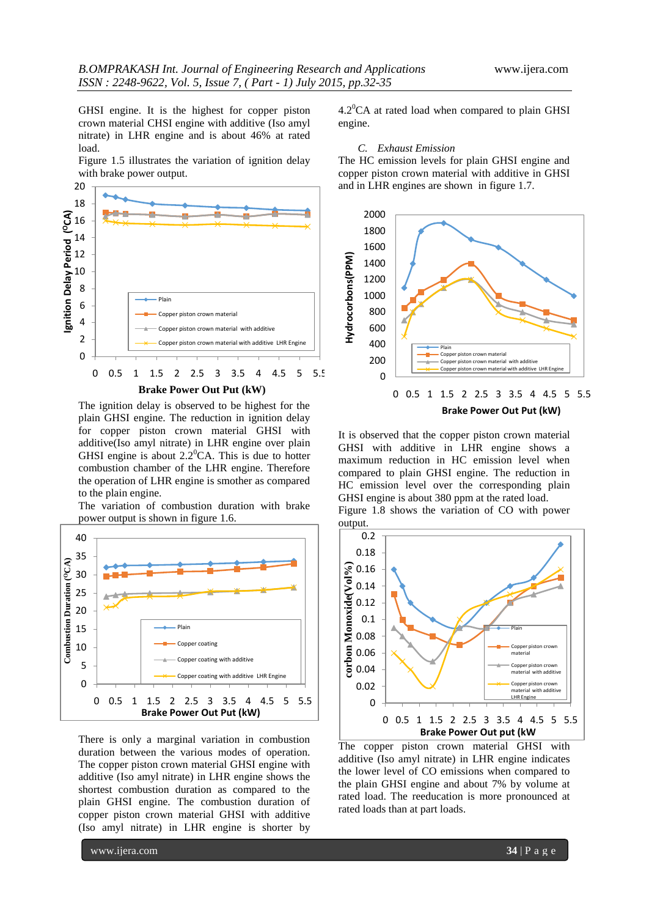GHSI engine. It is the highest for copper piston crown material CHSI engine with additive (Iso amyl nitrate) in LHR engine and is about 46% at rated load.

Figure 1.5 illustrates the variation of ignition delay with brake power output.



The ignition delay is observed to be highest for the plain GHSI engine. The reduction in ignition delay for copper piston crown material GHSI with additive(Iso amyl nitrate) in LHR engine over plain GHSI engine is about  $2.2^{\circ}$ CA. This is due to hotter combustion chamber of the LHR engine. Therefore the operation of LHR engine is smother as compared to the plain engine.

The variation of combustion duration with brake



There is only a marginal variation in combustion duration between the various modes of operation. The copper piston crown material GHSI engine with additive (Iso amyl nitrate) in LHR engine shows the shortest combustion duration as compared to the plain GHSI engine. The combustion duration of copper piston crown material GHSI with additive (Iso amyl nitrate) in LHR engine is shorter by  $4.2^{\circ}$ CA at rated load when compared to plain GHSI engine.

#### *C. Exhaust Emission*

The HC emission levels for plain GHSI engine and copper piston crown material with additive in GHSI and in LHR engines are shown in figure 1.7.



It is observed that the copper piston crown material GHSI with additive in LHR engine shows a maximum reduction in HC emission level when compared to plain GHSI engine. The reduction in HC emission level over the corresponding plain GHSI engine is about 380 ppm at the rated load. Figure 1.8 shows the variation of CO with power



The copper piston crown material GHSI with additive (Iso amyl nitrate) in LHR engine indicates the lower level of CO emissions when compared to the plain GHSI engine and about 7% by volume at rated load. The reeducation is more pronounced at rated loads than at part loads.

www.ijera.com **34** | P a g e